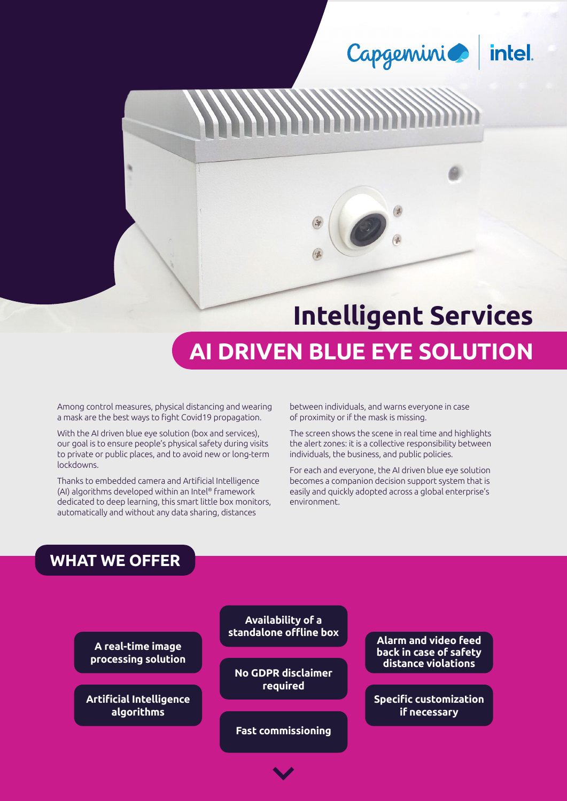Capgemini intel.

# **Intelligent Services**

## **AI DRIVEN BLUE EYE SOLUTION**

Among control measures, physical distancing and wearing a mask are the best ways to fight Covid19 propagation.

With the AI driven blue eye solution (box and services), our goal is to ensure people's physical safety during visits to private or public places, and to avoid new or long-term lockdowns.

Thanks to embedded camera and Artificial Intelligence (AI) algorithms developed within an Intel® framework dedicated to deep learning, this smart little box monitors, automatically and without any data sharing, distances

between individuals, and warns everyone in case of proximity or if the mask is missing.

The screen shows the scene in real time and highlights the alert zones: it is a collective responsibility between individuals, the business, and public policies.

For each and everyone, the AI driven blue eye solution becomes a companion decision support system that is easily and quickly adopted across a global enterprise's environment.

#### **WHAT WE OFFER**

**A real-time image processing solution**

**Artificial Intelligence algorithms**

**Availability of a** 

**No GDPR disclaimer required**

**Fast commissioning**

**Alarm and video feed back in case of safety distance violations**

**Specific customization if necessary**